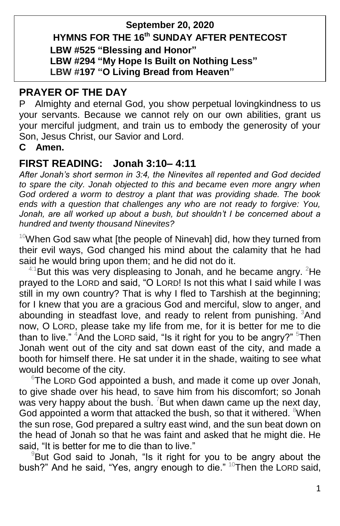### **September 20, 2020 HYMNS FOR THE 16 th SUNDAY AFTER PENTECOST LBW #525 "Blessing and Honor" LBW #294 "My Hope Is Built on Nothing Less" LBW #197 "O Living Bread from Heaven"**

### **PRAYER OF THE DAY**

P Almighty and eternal God, you show perpetual lovingkindness to us your servants. Because we cannot rely on our own abilities, grant us your merciful judgment, and train us to embody the generosity of your Son, Jesus Christ, our Savior and Lord.

#### **C Amen.**

### **FIRST READING: Jonah 3:10– 4:11**

*After Jonah's short sermon in 3:4, the Ninevites all repented and God decided to spare the city. Jonah objected to this and became even more angry when God ordered a worm to destroy a plant that was providing shade. The book ends with a question that challenges any who are not ready to forgive: You,*  Jonah, are all worked up about a bush, but shouldn't I be concerned about a *hundred and twenty thousand Ninevites?*

 $10$ When God saw what [the people of Ninevah] did, how they turned from their evil ways, God changed his mind about the calamity that he had said he would bring upon them; and he did not do it.

 $4:1$ But this was very displeasing to Jonah, and he became angry.  $2$ He prayed to the LORD and said, "O LORD! Is not this what I said while I was still in my own country? That is why I fled to Tarshish at the beginning; for I knew that you are a gracious God and merciful, slow to anger, and abounding in steadfast love, and ready to relent from punishing. <sup>3</sup>And now, O LORD, please take my life from me, for it is better for me to die than to live."  $4$ And the LORD said, "Is it right for you to be angry?"  $5$ Then Jonah went out of the city and sat down east of the city, and made a booth for himself there. He sat under it in the shade, waiting to see what would become of the city.

 $6$ The LORD God appointed a bush, and made it come up over Jonah, to give shade over his head, to save him from his discomfort; so Jonah was very happy about the bush.  $78$ ut when dawn came up the next day, God appointed a worm that attacked the bush, so that it withered. <sup>8</sup>When the sun rose, God prepared a sultry east wind, and the sun beat down on the head of Jonah so that he was faint and asked that he might die. He said, "It is better for me to die than to live."

<sup>9</sup>But God said to Jonah, "Is it right for you to be angry about the bush?" And he said, "Yes, angry enough to die." <sup>10</sup>Then the LORD said,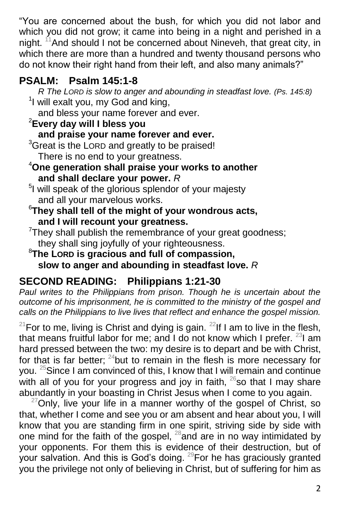"You are concerned about the bush, for which you did not labor and which you did not grow; it came into being in a night and perished in a night. <sup>11</sup>And should I not be concerned about Nineveh, that great city, in which there are more than a hundred and twenty thousand persons who do not know their right hand from their left, and also many animals?"

# **PSALM: Psalm 145:1-8**

 *R The LORD is slow to anger and abounding in steadfast love. (Ps. 145:8)* <sup>1</sup>I will exalt you, my God and king,

and bless your name forever and ever.

# <sup>2</sup>**Every day will I bless you**

**and praise your name forever and ever.**

<sup>3</sup>Great is the LORD and greatly to be praised! There is no end to your greatness.

- <sup>4</sup>**One generation shall praise your works to another and shall declare your power.** *R*
- <sup>5</sup>I will speak of the glorious splendor of your majesty and all your marvelous works.
- <sup>6</sup>**They shall tell of the might of your wondrous acts, and I will recount your greatness.**
- $7$ They shall publish the remembrance of your great goodness; they shall sing joyfully of your righteousness.

## <sup>8</sup>**The LORD is gracious and full of compassion, slow to anger and abounding in steadfast love.** *R*

# **SECOND READING: Philippians 1:21-30**

Paul writes to the Philippians from prison. Though he is uncertain about the *outcome of his imprisonment, he is committed to the ministry of the gospel and calls on the Philippians to live lives that reflect and enhance the gospel mission.*

<sup>21</sup>For to me, living is Christ and dying is gain. <sup>22</sup>If I am to live in the flesh, that means fruitful labor for me; and I do not know which I prefer.  $^{23}$ I am hard pressed between the two: my desire is to depart and be with Christ, for that is far better;  $24$  but to remain in the flesh is more necessary for you.  $25$ Since I am convinced of this, I know that I will remain and continue with all of you for your progress and joy in faith,  $^{26}$ so that I may share abundantly in your boasting in Christ Jesus when I come to you again.

 $^{27}$ Only, live your life in a manner worthy of the gospel of Christ, so that, whether I come and see you or am absent and hear about you, I will know that you are standing firm in one spirit, striving side by side with one mind for the faith of the gospel,  $^{28}$  and are in no way intimidated by your opponents. For them this is evidence of their destruction, but of your salvation. And this is God's doing.  $^{29}$  For he has graciously granted you the privilege not only of believing in Christ, but of suffering for him as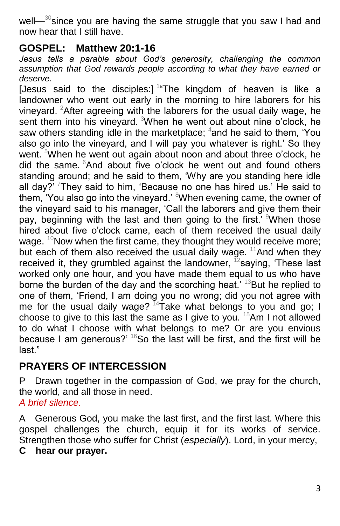well— $30$ since you are having the same struggle that you saw I had and now hear that I still have.

### **GOSPEL: Matthew 20:1-16**

*Jesus tells a parable about God's generosity, challenging the common assumption that God rewards people according to what they have earned or deserve.*

[Jesus said to the disciples:]  $14$  The kingdom of heaven is like a landowner who went out early in the morning to hire laborers for his vineyard. <sup>2</sup>After agreeing with the laborers for the usual daily wage, he sent them into his vineyard. <sup>3</sup>When he went out about nine o'clock, he saw others standing idle in the marketplace; <sup>4</sup>and he said to them, 'You also go into the vineyard, and I will pay you whatever is right.' So they went. <sup>5</sup>When he went out again about noon and about three o'clock, he did the same.  $6$ And about five o'clock he went out and found others standing around; and he said to them, 'Why are you standing here idle all day?  $7$ They said to him, 'Because no one has hired us.' He said to them, 'You also go into the vineyard.' <sup>8</sup>When evening came, the owner of the vineyard said to his manager, 'Call the laborers and give them their pay, beginning with the last and then going to the first.<sup>9</sup>When those hired about five o'clock came, each of them received the usual daily wage.  $10$ Now when the first came, they thought they would receive more; but each of them also received the usual daily wage.  $11$ And when they received it, they grumbled against the landowner,  $12$  saying, 'These last worked only one hour, and you have made them equal to us who have borne the burden of the day and the scorching heat.<sup>' 13</sup>But he replied to one of them, 'Friend, I am doing you no wrong; did you not agree with me for the usual daily wage?  $14$ Take what belongs to you and go; I choose to give to this last the same as I give to you.  $15Am I$  not allowed to do what I choose with what belongs to me? Or are you envious because I am generous?<sup>' 16</sup>So the last will be first, and the first will be last."

# **PRAYERS OF INTERCESSION**

P Drawn together in the compassion of God, we pray for the church, the world, and all those in need.

*A brief silence.*

A Generous God, you make the last first, and the first last. Where this gospel challenges the church, equip it for its works of service. Strengthen those who suffer for Christ (*especially*). Lord, in your mercy, **C hear our prayer.**